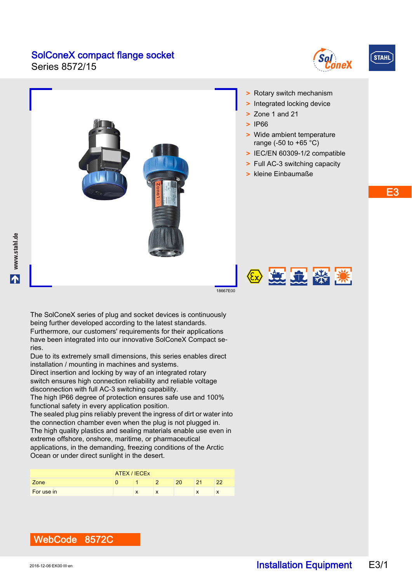Series 8572/15





E3

# > Rotary switch mechanism > Integrated locking device > Zone 1 and 21 > IP66 > Wide ambient temperature range (-50 to +65 °C) > IEC/EN 60309-1/2 compatible > Full AC-3 switching capacity > kleine Einbaumaße 2 过九 深 溪 18667E00 The SolConeX series of plug and socket devices is continuously

being further developed according to the latest standards. Furthermore, our customers' requirements for their applications have been integrated into our innovative SolConeX Compact series.

Due to its extremely small dimensions, this series enables direct installation / mounting in machines and systems.

Direct insertion and locking by way of an integrated rotary switch ensures high connection reliability and reliable voltage disconnection with full AC-3 switching capability.

The high IP66 degree of protection ensures safe use and 100% functional safety in every application position.

The sealed plug pins reliably prevent the ingress of dirt or water into the connection chamber even when the plug is not plugged in. The high quality plastics and sealing materials enable use even in extreme offshore, onshore, maritime, or pharmaceutical applications, in the demanding, freezing conditions of the Arctic Ocean or under direct sunlight in the desert.

|            | ATEX / IECEX |           |           |    |            |           |  |
|------------|--------------|-----------|-----------|----|------------|-----------|--|
| Zone       |              |           |           | ററ | $^{\circ}$ | ົດດ       |  |
| For use in |              | $\lambda$ | $\lambda$ |    | $\lambda$  | $\lambda$ |  |

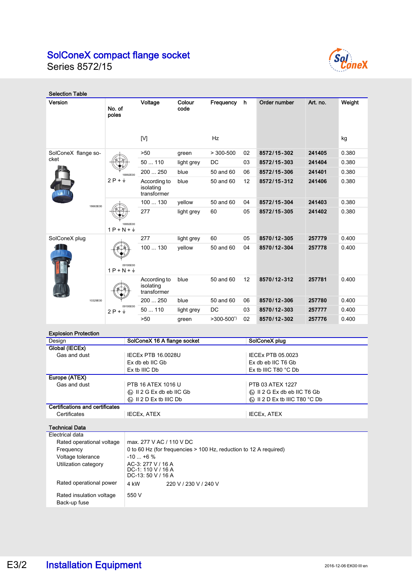

Series 8572/15

| <b>Selection Table</b>      |                                    |                                          |                |                     |    |              |          |        |
|-----------------------------|------------------------------------|------------------------------------------|----------------|---------------------|----|--------------|----------|--------|
| Version                     | No. of<br>poles                    | Voltage                                  | Colour<br>code | Frequency           | h  | Order number | Art. no. | Weight |
|                             |                                    | [V]                                      |                | Hz                  |    |              |          | kg     |
| SolConeX flange so-<br>cket |                                    | >50                                      | green          | $> 300 - 500$       | 02 | 8572/15-302  | 241405   | 0.380  |
|                             |                                    | 50  110                                  | light grey     | <b>DC</b>           | 03 | 8572/15-303  | 241404   | 0.380  |
|                             | 16992E00                           | 200  250                                 | blue           | 50 and 60           | 06 | 8572/15-306  | 241401   | 0.380  |
|                             | $2P + \frac{1}{2}$                 | According to<br>isolating<br>transformer | blue           | 50 and 60           | 12 | 8572/15-312  | 241406   | 0.380  |
| 18663E00                    |                                    | 100  130                                 | vellow         | 50 and 60           | 04 | 8572/15-304  | 241403   | 0.380  |
|                             | 16992E00<br>$1P + N + \frac{1}{2}$ | 277                                      | light grey     | 60                  | 05 | 8572/15-305  | 241402   | 0.380  |
| SolConeX plug<br>10329E00   |                                    | 277                                      | light grey     | 60                  | 05 | 8570/12-305  | 257779   | 0.400  |
|                             | 09195E00<br>$1P + N + \frac{1}{2}$ | 100  130                                 | vellow         | 50 and 60           | 04 | 8570/12-304  | 257778   | 0.400  |
|                             |                                    | According to<br>isolating<br>transformer | blue           | 50 and 60           | 12 | 8570/12-312  | 257781   | 0.400  |
|                             |                                    | 200  250                                 | blue           | 50 and 60           | 06 | 8570/12-306  | 257780   | 0.400  |
|                             | 09195E00<br>$2P + \frac{1}{2}$     | 50110                                    | light grey     | DC                  | 03 | 8570/12-303  | 257777   | 0.400  |
|                             |                                    | >50                                      | green          | $>300-500^{\prime}$ | 02 | 8570/12-302  | 257776   | 0.400  |

#### Explosion Protection

| Design                          | SolConeX 16 A flange socket                                    | SolConeX plug                                                       |
|---------------------------------|----------------------------------------------------------------|---------------------------------------------------------------------|
| Global (IECEx)                  |                                                                |                                                                     |
| Gas and dust                    | <b>IECEX PTB 16.0028U</b>                                      | IECEX PTB 05,0023                                                   |
|                                 | Ex db eb IIC Gb                                                | Ex db eb IIC T6 Gb                                                  |
|                                 | Ex tb IIIC Db                                                  | Ex tb IIIC T80 $^{\circ}$ C Db                                      |
| Europe (ATEX)                   |                                                                |                                                                     |
| Gas and dust                    | PTB 16 ATEX 1016 U                                             | PTB 03 ATEX 1227                                                    |
|                                 | $\langle \overline{\mathbb{Q}} \rangle$ II 2 G Ex db eb IIC Gb |                                                                     |
|                                 | $\langle \xi \rangle$ II 2 D Ex tb IIIC Db                     | $\langle \overline{\mathbb{Q}} \rangle$ II 2 D Ex tb IIIC T80 °C Db |
| Certifications and certificates |                                                                |                                                                     |
| Certificates                    | <b>IECEX, ATEX</b>                                             | <b>IECEX, ATEX</b>                                                  |

Technical Data

| Electrical data                          |                                                                   |  |  |  |
|------------------------------------------|-------------------------------------------------------------------|--|--|--|
| Rated operational voltage                | max. 277 V AC / 110 V DC                                          |  |  |  |
| Frequency                                | 0 to 60 Hz (for frequencies > 100 Hz, reduction to 12 A required) |  |  |  |
| Voltage tolerance                        | $-10$ $+6$ %                                                      |  |  |  |
| Utilization category                     | AC-3: 277 V / 16 A<br>DC-1: 110 V / 16 A<br>$DC-13:50 V/16 A$     |  |  |  |
| Rated operational power                  | 4 kW<br>220 V / 230 V / 240 V                                     |  |  |  |
| Rated insulation voltage<br>Back-up fuse | 550 V                                                             |  |  |  |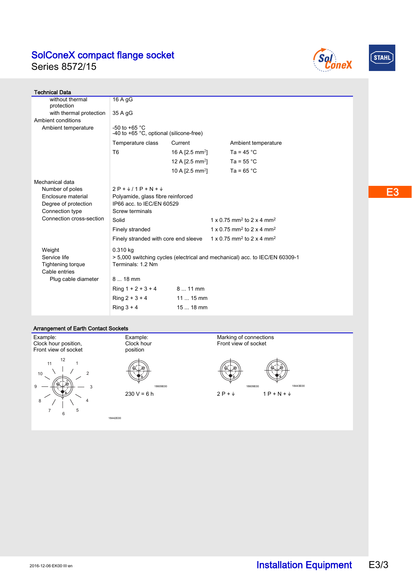Series 8572/15





| <b>Technical Data</b>                         |                                                                                               |                             |                                                   |  |  |  |  |
|-----------------------------------------------|-----------------------------------------------------------------------------------------------|-----------------------------|---------------------------------------------------|--|--|--|--|
| without thermal                               | 16 A gG                                                                                       |                             |                                                   |  |  |  |  |
| protection                                    |                                                                                               |                             |                                                   |  |  |  |  |
| with thermal protection<br>Ambient conditions | 35 A gG                                                                                       |                             |                                                   |  |  |  |  |
| Ambient temperature                           | -50 to +65 $^{\circ}$ C                                                                       |                             |                                                   |  |  |  |  |
|                                               | -40 to +65 °C, optional (silicone-free)                                                       |                             |                                                   |  |  |  |  |
|                                               | Temperature class                                                                             | Current                     | Ambient temperature                               |  |  |  |  |
|                                               | T <sub>6</sub>                                                                                | 16 A $[2.5 \text{ mm}^2]$   | Ta = $45^{\circ}$ C                               |  |  |  |  |
|                                               |                                                                                               | 12 A $[2.5 \text{ mm}^2]$   | Ta = $55^{\circ}$ C                               |  |  |  |  |
|                                               |                                                                                               | 10 A [2.5 mm <sup>2</sup> ] | Ta = $65^{\circ}$ C                               |  |  |  |  |
| Mechanical data                               |                                                                                               |                             |                                                   |  |  |  |  |
| Number of poles                               | $2P + \frac{1}{2}$ / 1 P + N + $\frac{1}{2}$                                                  |                             |                                                   |  |  |  |  |
| Enclosure material                            | Polyamide, glass fibre reinforced                                                             |                             |                                                   |  |  |  |  |
| Degree of protection                          | IP66 acc. to IEC/EN 60529                                                                     |                             |                                                   |  |  |  |  |
| Connection type                               | Screw terminals                                                                               |                             |                                                   |  |  |  |  |
| Connection cross-section                      | Solid                                                                                         |                             | 1 x 0 75 mm <sup>2</sup> to 2 x 4 mm <sup>2</sup> |  |  |  |  |
|                                               | Finely stranded                                                                               |                             | 1 x 0.75 mm <sup>2</sup> to 2 x 4 mm <sup>2</sup> |  |  |  |  |
|                                               | Finely stranded with core end sleeve $1 \times 0.75$ mm <sup>2</sup> to 2 x 4 mm <sup>2</sup> |                             |                                                   |  |  |  |  |
| Weight                                        | 0.310 kg                                                                                      |                             |                                                   |  |  |  |  |
| Service life                                  | > 5,000 switching cycles (electrical and mechanical) acc. to IEC/EN 60309-1                   |                             |                                                   |  |  |  |  |
| <b>Tightening torque</b>                      | Terminals: 1.2 Nm                                                                             |                             |                                                   |  |  |  |  |
| Cable entries                                 |                                                                                               |                             |                                                   |  |  |  |  |
| Plug cable diameter                           | $818$ mm                                                                                      |                             |                                                   |  |  |  |  |
|                                               | $Ring 1 + 2 + 3 + 4$                                                                          | $811$ mm                    |                                                   |  |  |  |  |
|                                               | $Ring 2 + 3 + 4$                                                                              | $1115$ mm                   |                                                   |  |  |  |  |
|                                               | Ring $3 + 4$                                                                                  | 15  18 mm                   |                                                   |  |  |  |  |

#### Arrangement of Earth Contact Sockets

Example: Clock hour position, Front view of socket í ∠L N 12 1  $\overline{2}$ 3 4 5 6 7 8 9 10

Example: Clock hour position



18442E00

Marking of connections Front view of socket



E3